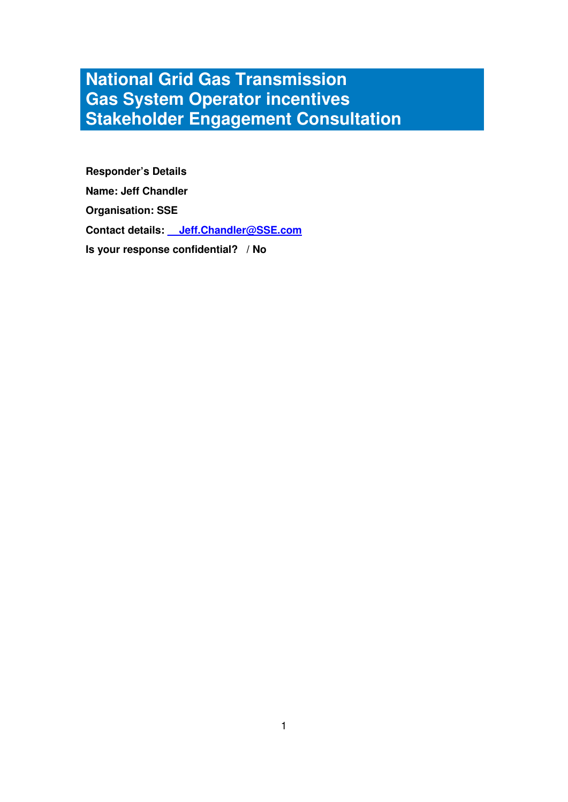# **National Grid Gas Transmission Gas System Operator incentives Stakeholder Engagement Consultation**

**Responder's Details Name: Jeff Chandler Organisation: SSE Contact details: \_\_Jeff.Chandler@SSE.com Is your response confidential? / No**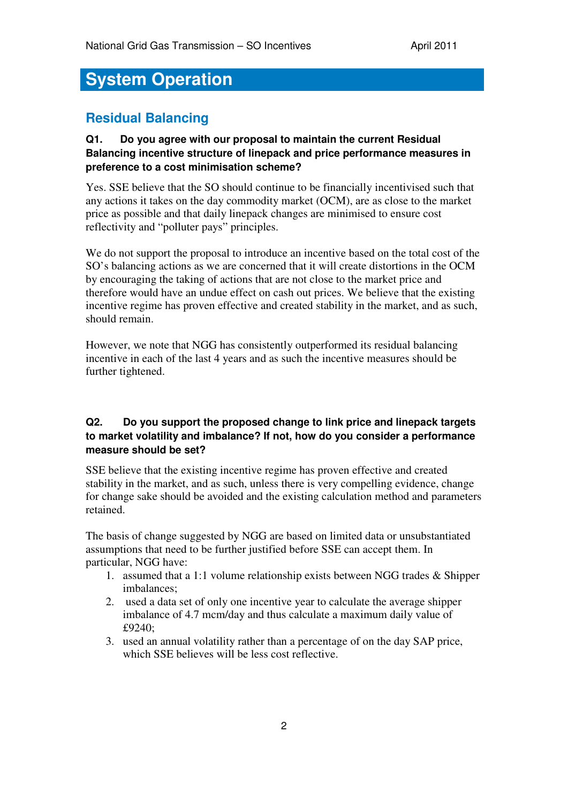# **System Operation**

# **Residual Balancing**

#### **Q1. Do you agree with our proposal to maintain the current Residual Balancing incentive structure of linepack and price performance measures in preference to a cost minimisation scheme?**

Yes. SSE believe that the SO should continue to be financially incentivised such that any actions it takes on the day commodity market (OCM), are as close to the market price as possible and that daily linepack changes are minimised to ensure cost reflectivity and "polluter pays" principles.

We do not support the proposal to introduce an incentive based on the total cost of the SO's balancing actions as we are concerned that it will create distortions in the OCM by encouraging the taking of actions that are not close to the market price and therefore would have an undue effect on cash out prices. We believe that the existing incentive regime has proven effective and created stability in the market, and as such, should remain.

However, we note that NGG has consistently outperformed its residual balancing incentive in each of the last 4 years and as such the incentive measures should be further tightened.

## **Q2. Do you support the proposed change to link price and linepack targets to market volatility and imbalance? If not, how do you consider a performance measure should be set?**

SSE believe that the existing incentive regime has proven effective and created stability in the market, and as such, unless there is very compelling evidence, change for change sake should be avoided and the existing calculation method and parameters retained.

The basis of change suggested by NGG are based on limited data or unsubstantiated assumptions that need to be further justified before SSE can accept them. In particular, NGG have:

- 1. assumed that a 1:1 volume relationship exists between NGG trades & Shipper imbalances;
- 2. used a data set of only one incentive year to calculate the average shipper imbalance of 4.7 mcm/day and thus calculate a maximum daily value of £9240;
- 3. used an annual volatility rather than a percentage of on the day SAP price, which SSE believes will be less cost reflective.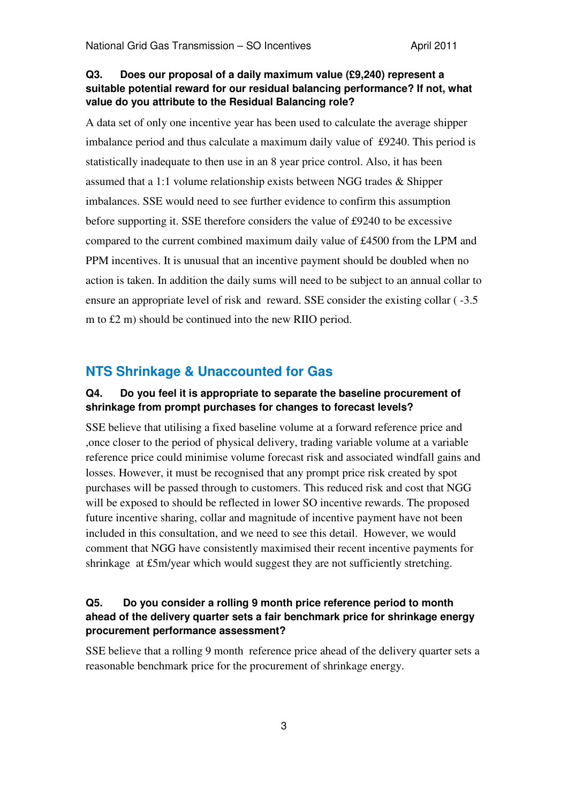#### **Q3. Does our proposal of a daily maximum value (£9,240) represent a suitable potential reward for our residual balancing performance? If not, what value do you attribute to the Residual Balancing role?**

A data set of only one incentive year has been used to calculate the average shipper imbalance period and thus calculate a maximum daily value of £9240. This period is statistically inadequate to then use in an 8 year price control. Also, it has been assumed that a 1:1 volume relationship exists between NGG trades & Shipper imbalances. SSE would need to see further evidence to confirm this assumption before supporting it. SSE therefore considers the value of £9240 to be excessive compared to the current combined maximum daily value of £4500 from the LPM and PPM incentives. It is unusual that an incentive payment should be doubled when no action is taken. In addition the daily sums will need to be subject to an annual collar to ensure an appropriate level of risk and reward. SSE consider the existing collar ( -3.5 m to £2 m) should be continued into the new RIIO period.

# **NTS Shrinkage & Unaccounted for Gas**

#### **Q4. Do you feel it is appropriate to separate the baseline procurement of shrinkage from prompt purchases for changes to forecast levels?**

SSE believe that utilising a fixed baseline volume at a forward reference price and ,once closer to the period of physical delivery, trading variable volume at a variable reference price could minimise volume forecast risk and associated windfall gains and losses. However, it must be recognised that any prompt price risk created by spot purchases will be passed through to customers. This reduced risk and cost that NGG will be exposed to should be reflected in lower SO incentive rewards. The proposed future incentive sharing, collar and magnitude of incentive payment have not been included in this consultation, and we need to see this detail. However, we would comment that NGG have consistently maximised their recent incentive payments for shrinkage at £5m/year which would suggest they are not sufficiently stretching.

#### **Q5. Do you consider a rolling 9 month price reference period to month ahead of the delivery quarter sets a fair benchmark price for shrinkage energy procurement performance assessment?**

SSE believe that a rolling 9 month reference price ahead of the delivery quarter sets a reasonable benchmark price for the procurement of shrinkage energy.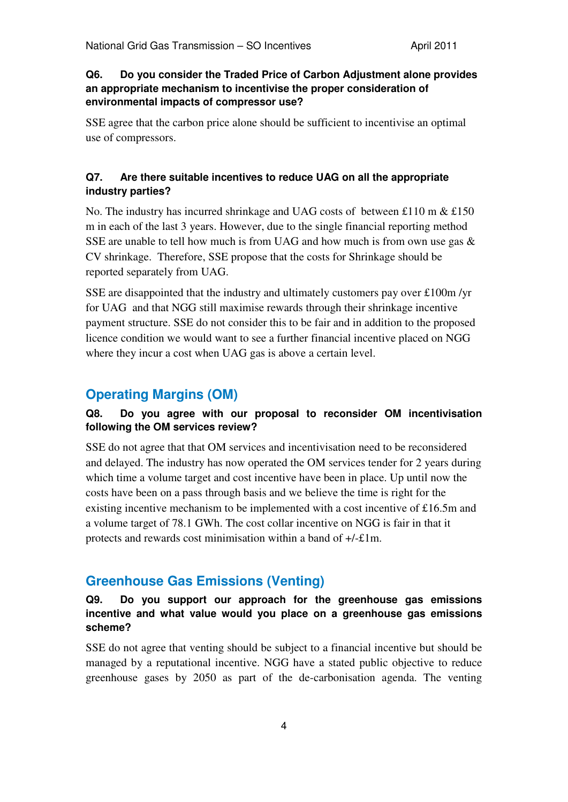#### **Q6. Do you consider the Traded Price of Carbon Adjustment alone provides an appropriate mechanism to incentivise the proper consideration of environmental impacts of compressor use?**

SSE agree that the carbon price alone should be sufficient to incentivise an optimal use of compressors.

#### **Q7. Are there suitable incentives to reduce UAG on all the appropriate industry parties?**

No. The industry has incurred shrinkage and UAG costs of between £110 m  $&$  £150 m in each of the last 3 years. However, due to the single financial reporting method SSE are unable to tell how much is from UAG and how much is from own use gas  $\&$ CV shrinkage. Therefore, SSE propose that the costs for Shrinkage should be reported separately from UAG.

SSE are disappointed that the industry and ultimately customers pay over £100m /yr for UAG and that NGG still maximise rewards through their shrinkage incentive payment structure. SSE do not consider this to be fair and in addition to the proposed licence condition we would want to see a further financial incentive placed on NGG where they incur a cost when UAG gas is above a certain level.

# **Operating Margins (OM)**

#### **Q8. Do you agree with our proposal to reconsider OM incentivisation following the OM services review?**

SSE do not agree that that OM services and incentivisation need to be reconsidered and delayed. The industry has now operated the OM services tender for 2 years during which time a volume target and cost incentive have been in place. Up until now the costs have been on a pass through basis and we believe the time is right for the existing incentive mechanism to be implemented with a cost incentive of £16.5m and a volume target of 78.1 GWh. The cost collar incentive on NGG is fair in that it protects and rewards cost minimisation within a band of +/-£1m.

# **Greenhouse Gas Emissions (Venting)**

### **Q9. Do you support our approach for the greenhouse gas emissions incentive and what value would you place on a greenhouse gas emissions scheme?**

SSE do not agree that venting should be subject to a financial incentive but should be managed by a reputational incentive. NGG have a stated public objective to reduce greenhouse gases by 2050 as part of the de-carbonisation agenda. The venting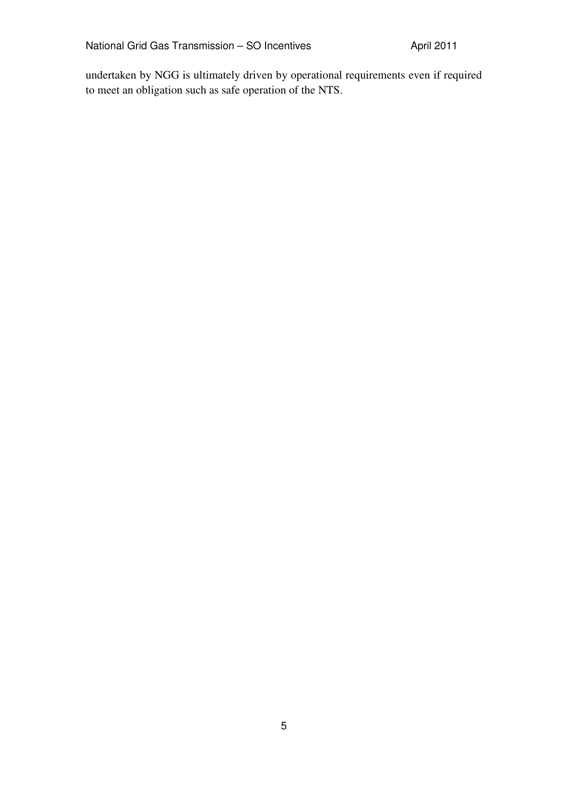undertaken by NGG is ultimately driven by operational requirements even if required to meet an obligation such as safe operation of the NTS.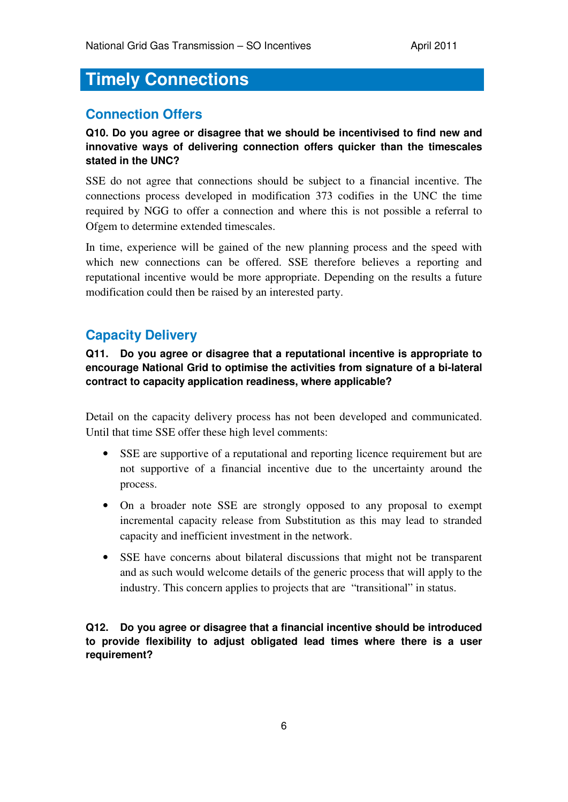# **Timely Connections**

# **Connection Offers**

**Q10. Do you agree or disagree that we should be incentivised to find new and innovative ways of delivering connection offers quicker than the timescales stated in the UNC?** 

SSE do not agree that connections should be subject to a financial incentive. The connections process developed in modification 373 codifies in the UNC the time required by NGG to offer a connection and where this is not possible a referral to Ofgem to determine extended timescales.

In time, experience will be gained of the new planning process and the speed with which new connections can be offered. SSE therefore believes a reporting and reputational incentive would be more appropriate. Depending on the results a future modification could then be raised by an interested party.

## **Capacity Delivery**

**Q11. Do you agree or disagree that a reputational incentive is appropriate to encourage National Grid to optimise the activities from signature of a bi-lateral contract to capacity application readiness, where applicable?** 

Detail on the capacity delivery process has not been developed and communicated. Until that time SSE offer these high level comments:

- SSE are supportive of a reputational and reporting licence requirement but are not supportive of a financial incentive due to the uncertainty around the process.
- On a broader note SSE are strongly opposed to any proposal to exempt incremental capacity release from Substitution as this may lead to stranded capacity and inefficient investment in the network.
- SSE have concerns about bilateral discussions that might not be transparent and as such would welcome details of the generic process that will apply to the industry. This concern applies to projects that are "transitional" in status.

**Q12. Do you agree or disagree that a financial incentive should be introduced to provide flexibility to adjust obligated lead times where there is a user requirement?**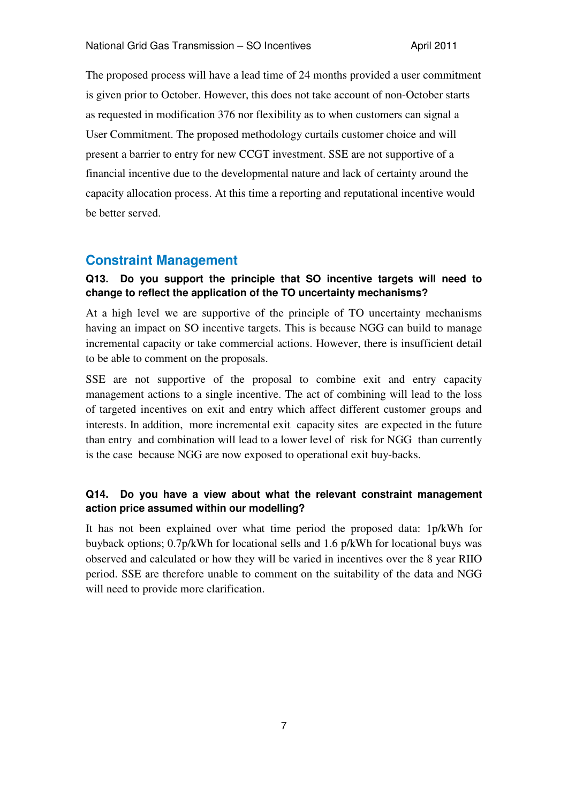The proposed process will have a lead time of 24 months provided a user commitment is given prior to October. However, this does not take account of non-October starts as requested in modification 376 nor flexibility as to when customers can signal a User Commitment. The proposed methodology curtails customer choice and will present a barrier to entry for new CCGT investment. SSE are not supportive of a financial incentive due to the developmental nature and lack of certainty around the capacity allocation process. At this time a reporting and reputational incentive would be better served.

#### **Constraint Management**

#### **Q13. Do you support the principle that SO incentive targets will need to change to reflect the application of the TO uncertainty mechanisms?**

At a high level we are supportive of the principle of TO uncertainty mechanisms having an impact on SO incentive targets. This is because NGG can build to manage incremental capacity or take commercial actions. However, there is insufficient detail to be able to comment on the proposals.

SSE are not supportive of the proposal to combine exit and entry capacity management actions to a single incentive. The act of combining will lead to the loss of targeted incentives on exit and entry which affect different customer groups and interests. In addition, more incremental exit capacity sites are expected in the future than entry and combination will lead to a lower level of risk for NGG than currently is the case because NGG are now exposed to operational exit buy-backs.

#### **Q14. Do you have a view about what the relevant constraint management action price assumed within our modelling?**

It has not been explained over what time period the proposed data: 1p/kWh for buyback options; 0.7p/kWh for locational sells and 1.6 p/kWh for locational buys was observed and calculated or how they will be varied in incentives over the 8 year RIIO period. SSE are therefore unable to comment on the suitability of the data and NGG will need to provide more clarification.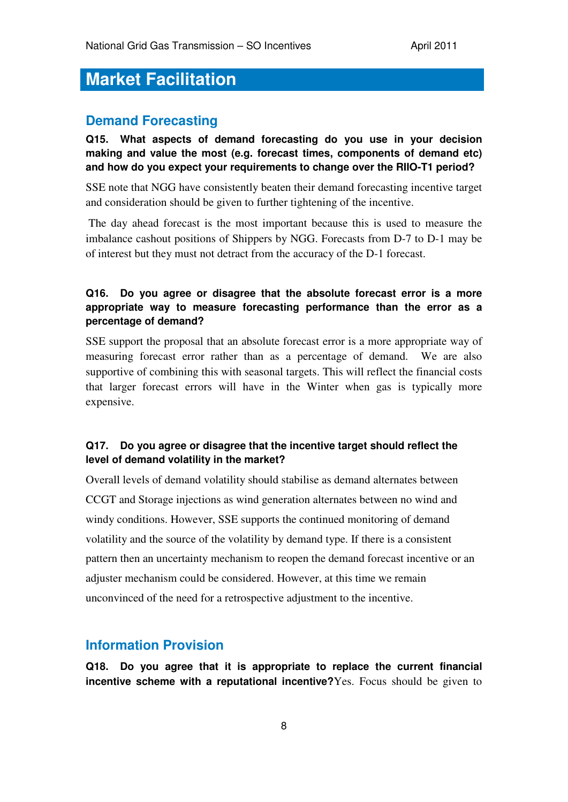# **Market Facilitation**

## **Demand Forecasting**

**Q15. What aspects of demand forecasting do you use in your decision making and value the most (e.g. forecast times, components of demand etc) and how do you expect your requirements to change over the RIIO-T1 period?** 

SSE note that NGG have consistently beaten their demand forecasting incentive target and consideration should be given to further tightening of the incentive.

 The day ahead forecast is the most important because this is used to measure the imbalance cashout positions of Shippers by NGG. Forecasts from D-7 to D-1 may be of interest but they must not detract from the accuracy of the D-1 forecast.

#### **Q16. Do you agree or disagree that the absolute forecast error is a more appropriate way to measure forecasting performance than the error as a percentage of demand?**

SSE support the proposal that an absolute forecast error is a more appropriate way of measuring forecast error rather than as a percentage of demand. We are also supportive of combining this with seasonal targets. This will reflect the financial costs that larger forecast errors will have in the Winter when gas is typically more expensive.

#### **Q17. Do you agree or disagree that the incentive target should reflect the level of demand volatility in the market?**

Overall levels of demand volatility should stabilise as demand alternates between CCGT and Storage injections as wind generation alternates between no wind and windy conditions. However, SSE supports the continued monitoring of demand volatility and the source of the volatility by demand type. If there is a consistent pattern then an uncertainty mechanism to reopen the demand forecast incentive or an adjuster mechanism could be considered. However, at this time we remain unconvinced of the need for a retrospective adjustment to the incentive.

## **Information Provision**

**Q18. Do you agree that it is appropriate to replace the current financial incentive scheme with a reputational incentive?**Yes. Focus should be given to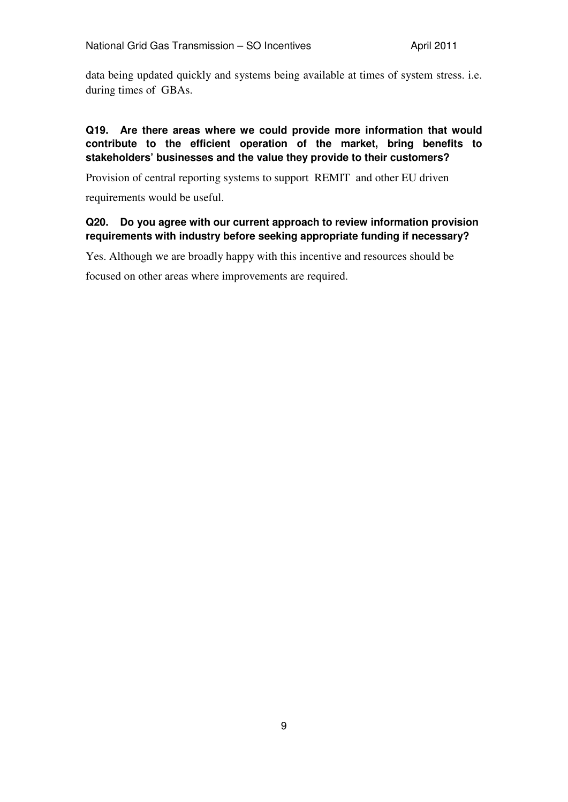data being updated quickly and systems being available at times of system stress. i.e. during times of GBAs.

#### **Q19. Are there areas where we could provide more information that would contribute to the efficient operation of the market, bring benefits to stakeholders' businesses and the value they provide to their customers?**

Provision of central reporting systems to support REMIT and other EU driven

requirements would be useful.

#### **Q20. Do you agree with our current approach to review information provision requirements with industry before seeking appropriate funding if necessary?**

Yes. Although we are broadly happy with this incentive and resources should be focused on other areas where improvements are required.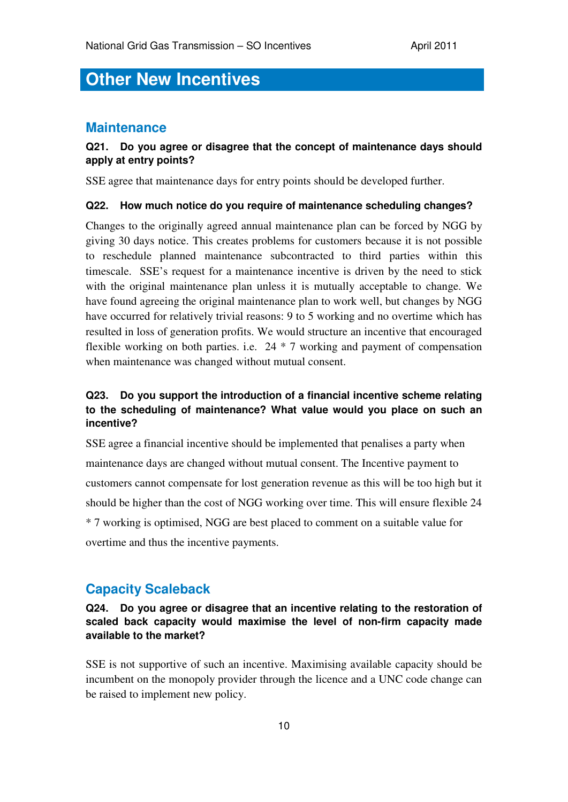# **Other New Incentives**

#### **Maintenance**

#### **Q21. Do you agree or disagree that the concept of maintenance days should apply at entry points?**

SSE agree that maintenance days for entry points should be developed further.

#### **Q22. How much notice do you require of maintenance scheduling changes?**

Changes to the originally agreed annual maintenance plan can be forced by NGG by giving 30 days notice. This creates problems for customers because it is not possible to reschedule planned maintenance subcontracted to third parties within this timescale. SSE's request for a maintenance incentive is driven by the need to stick with the original maintenance plan unless it is mutually acceptable to change. We have found agreeing the original maintenance plan to work well, but changes by NGG have occurred for relatively trivial reasons: 9 to 5 working and no overtime which has resulted in loss of generation profits. We would structure an incentive that encouraged flexible working on both parties. i.e. 24 \* 7 working and payment of compensation when maintenance was changed without mutual consent.

#### **Q23. Do you support the introduction of a financial incentive scheme relating to the scheduling of maintenance? What value would you place on such an incentive?**

SSE agree a financial incentive should be implemented that penalises a party when maintenance days are changed without mutual consent. The Incentive payment to customers cannot compensate for lost generation revenue as this will be too high but it should be higher than the cost of NGG working over time. This will ensure flexible 24 \* 7 working is optimised, NGG are best placed to comment on a suitable value for overtime and thus the incentive payments.

### **Capacity Scaleback**

#### **Q24. Do you agree or disagree that an incentive relating to the restoration of scaled back capacity would maximise the level of non-firm capacity made available to the market?**

SSE is not supportive of such an incentive. Maximising available capacity should be incumbent on the monopoly provider through the licence and a UNC code change can be raised to implement new policy.